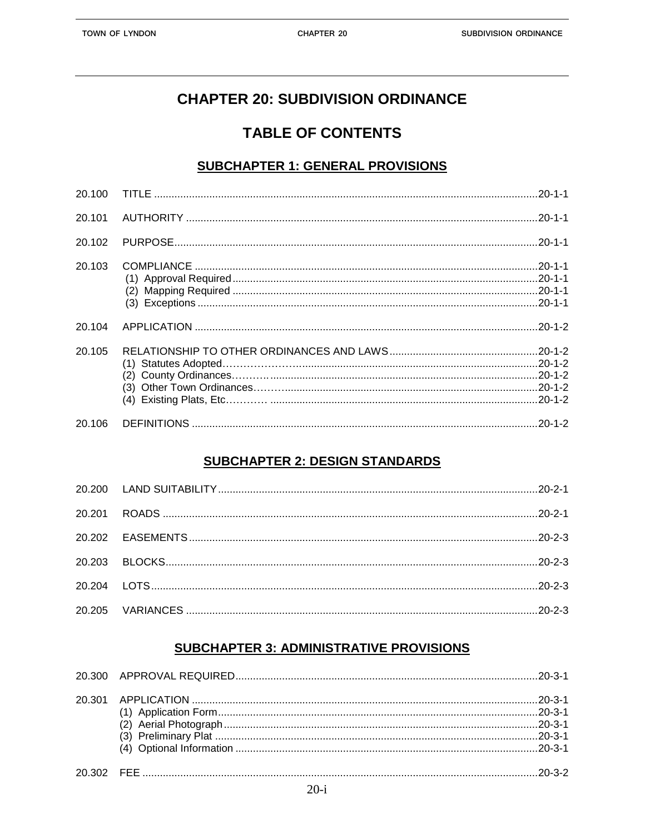# **CHAPTER 20: SUBDIVISION ORDINANCE**

## **TABLE OF CONTENTS**

#### **SUBCHAPTER 1: GENERAL PROVISIONS**

| 20.101 |  |
|--------|--|
| 20.102 |  |
| 20.103 |  |
| 20.104 |  |
| 20.105 |  |
| 20.106 |  |

### **SUBCHAPTER 2: DESIGN STANDARDS**

## **SUBCHAPTER 3: ADMINISTRATIVE PROVISIONS**